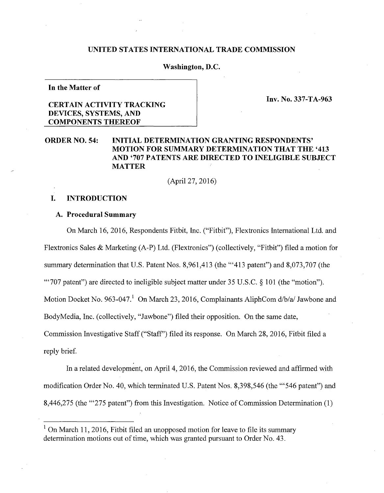#### **UNITED STATES INTERNATIONAL TRADE COMMISSION**

## **Washington, D.C.**

**In the Matter of** 

**Inv.** No. **337-TA-963** 

# **CERTAIN ACTIVITY TRACKING DEVICES, SYSTEMS, AND COMPONENTS THEREOF**

# **ORDER NO. 54: INITIAL DETERMINATION GRANTING RESPONDENTS' MOTION FOR SUMMARY DETERMINATION THAT THE '413 AND '707 PATENTS ARE DIRECTED TO INELIGIBLE SUBJECT MATTER**

(April27, 2016)

## **I. INTRODUCTION**

### **A. Procedural Summary**

On March 16, 2016, Respondents Fitbit, Inc. ("Fitbit"), Flextronics International Ltd. and Flextronics Sales & Marketing (A-P) Ltd. (Flextronics") (collectively, "Fitbit") filed a motion for summary determination that U.S. Patent Nos. 8,961,413 (the "413 patent") and 8,073,707 (the "'707 patent") are directed to ineligible subject matter under 35 U.S.C. § 101 (the "motion"). Motion Docket No. 963-047.<sup>1</sup> On March 23, 2016, Complainants AliphCom  $d/b/a$  Jawbone and BodyMedia, Inc. (collectively, "Jawbone") filed their opposition. On the same date, Commission Investigative Staff ("Staff') filed its response. On March 28, 2016, Fitbit filed a reply brief.

In a related development, on April 4, 2016, the Commission reviewed and affirmed with modification Order No. 40, which terminated U.S. Patent Nos. 8,398,546 (the "'546 patent") and 8,446,275 (the "'275 patent") from this Investigation. Notice of Commission Determination (1)

 $1$  On March 11, 2016, Fitbit filed an unopposed motion for leave to file its summary determination motions out of time, which was granted pursuant to Order No. 43.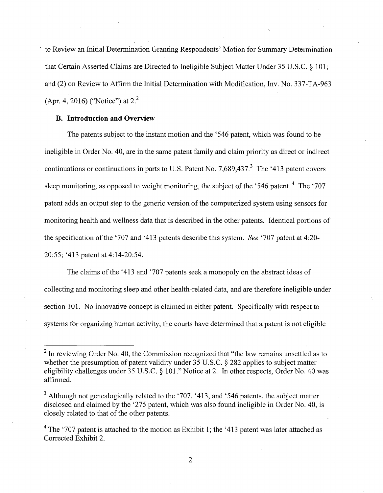to Review an Initial Determination Granting Respondents' Motion for Summary Determination that Certain Asserted Claims are Directed to Ineligible Subject Matter Under 35 U.S.C. § 101; and (2) on Review to Affirm the Initial Determination with Modification, Inv. No. 337-TA-963 (Apr. 4, 2016) ("Notice") at 2.<sup>2</sup>

## **B. Introduction and Overview**

The patents subject to the instant motion and the '546 patent, which was found to be ineligible in Order No. 40, are in the same patent family and claim priority as direct or indirect continuations or continuations in parts to U.S. Patent No. 7,689,437, $3$  The '413 patent covers sleep monitoring, as opposed to weight monitoring, the subject of the '546 patent.<sup>4</sup> The '707 patent adds an output step to the generic version of the computerized system using sensors for monitoring health and wellness data that is described in the other patents. Identical portions of the specification of the '707 and '413 patents describe this system. *See* '707 patent at 4:20-20:55; '413 patent at 4:14-20:54.

The claims of the '413 and '707 patents seek a monopoly on the abstract ideas of collecting and monitoring sleep and other health-related data, and are therefore ineligible under section 101. No innovative concept is claimed in either patent. Specifically with respect to systems for organizing human activity, the courts have determined that a patent is not eligible

 $2$  In reviewing Order No. 40, the Commission recognized that "the law remains unsettled as to whether the presumption of patent validity under 35 U.S.C. § 282 applies to subject matter eligibility challenges under 35 U.S.C. § 101." Notice at 2. In other respects, Order No. 40 was affirmed.

 $3$  Although not genealogically related to the '707, '413, and '546 patents, the subject matter disclosed and claimed by the '275 patent, which was also found ineligible in Order No. 40, is closely related to that of the other patents.

 $4$  The '707 patent is attached to the motion as Exhibit 1; the '413 patent was later attached as Corrected Exhibit 2.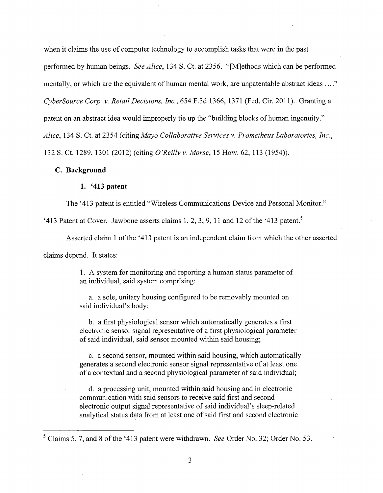when it claims the use of computer technology to accomplish tasks that were in the past

performed by human beings. *See Alice,* 134 S. Ct. at 2356. "[M]ethods which can be performed

mentally, or which are the equivalent of human mental work, are unpatentable abstract ideas ...."

*CyberSource Corp. v. Retail Decisions, Inc.,* 654 F.3d 1366, 1371 (Fed. Cir. 2011). Granting a

patent on an abstract idea would improperly tie up the "building blocks of human ingenuity."

*Alice,* 134 S. Ct. at 2354 (citing *Mayo Collaborative Services v. Prometheus Laboratories, Inc.,* 

132 S. Ct. 1289, 1301 (2012) (citing *O'Reilly v. Morse,* 15 How. 62, 113 (1954)).

## **C. Background**

## **1. '413 patent**

The '413 patent is entitled "Wireless Communications Device and Personal Monitor."

'413 Patent at Cover. Jawbone asserts claims 1, 2, 3, 9, 11 and 12 of the '413 patent.<sup>5</sup>

Asserted claim 1 of the '413 patent is an independent claim from which the other asserted

claims depend. It states:

1. A system for monitoring and reporting a human status parameter of an individual, said system comprising:

a. a sole, unitary housing configured to be removably mounted on said individual's body;

b. a first physiological sensor which automatically generates a first electronic sensor signal representative of a first physiological parameter of said individual, said sensor mounted within said housing;

c. a second sensor, mounted within said housing, which automatically generates a second electronic sensor signal representative of at least one of a contextual and a second physiological parameter of said individual;

d. a processing unit, mounted within said housing and in electronic communication with said sensors to receive said first and second electronic output signal representative of said individual's sleep-related analytical status data from at least one of said first and second electronic

<sup>5</sup> Claims 5, 7, and 8 of the '413 patent were withdrawn. *See* Order No. 32; Order No. 53.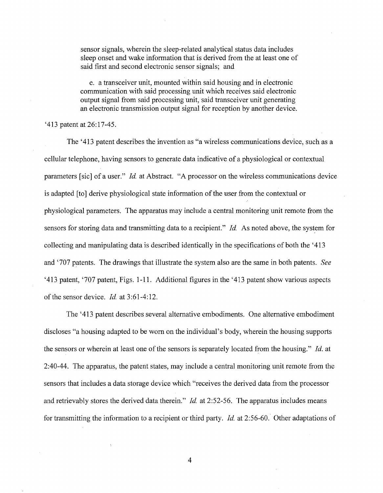sensor signals, wherein the sleep-related analytical status data includes sleep onset and wake information that is derived from the at least one of said first and second electronic sensor signals; and

e. a transceiver unit, mounted within said housing and in electronic communication with said processing unit which receives said electronic output signal from said processing unit, said transceiver unit generating an electronic transmission output signal for reception by another device.

#### '413 patent at 26:17-45.

The '413 patent describes the invention as "a wireless communications device, such as a cellular telephone, having sensors to generate data indicative of a physiological or contextual parameters [sic] of a user." *Id.* at Abstract. "A processor on the wireless communications device is adapted [to] derive physiological state information of the user from the contextual or physiological parameters. The apparatus may include a central monitoring unit remote from the sensors for storing data and transmitting data to a recipient." *Id.* As noted above, the system for collecting and manipulating data is described identically in the specifications of both the '413 and '707 patents. The drawings that illustrate the system also are the same in both patents. *See*  '413 patent, '707 patent, Figs. 1-11. Additional figures in the '413 patent show various aspects of the sensor device. *Id.* at 3:61-4:12.

The '413 patent describes several alternative embodiments. One alternative embodiment discloses "a housing adapted to be worn on the individual's body, wherein the housing supports the sensors or wherein at least one of the sensors is separately located from the housing." *!d.* at 2:40-44. The apparatus, the patent states, may include a central monitoring unit remote from the sensors that includes a data storage device which "receives the derived data from the processor and retrievably stores the derived data therein." *!d.* at 2:52-56. The apparatus includes means for transmitting the information to a recipient or third party. *Id.* at 2:56-60. Other adaptations of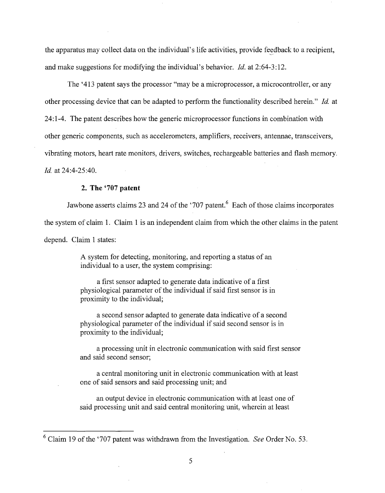the apparatus may collect data on the individual's life activities, provide feedback to a recipient, and make suggestions for modifying the individual's behavior. *!d.* at 2:64-3:12.

The '413 patent says the processor "may be a microprocessor, a microcontroller, or any other processing device that can be adapted to perform the functionality described herein." *!d.* at 24:1-4. The patent describes how the generic microprocessor functions in combination with other generic components, such as accelerometers, amplifiers, receivers, antennae, transceivers, vibrating motors, heart rate monitors, drivers, switches, rechargeable batteries and flash memory. *!d.* at 24:4-25:40.

#### **2. The '707 patent**

Jawbone asserts claims 23 and 24 of the '707 patent.<sup>6</sup> Each of those claims incorporates the system of claim 1. Claim 1 is an independent claim from which the other claims in the patent depend. Claim 1 states:

> A system for detecting, monitoring, and reporting a status of an individual to a user, the system comprising:

a first sensor adapted to generate data indicative of a first physiological parameter of the individual if said first sensor is in proximity to the individual;

a second sensor adapted to generate data indicative of a second physiological parameter of the individual if said second sensor is in proximity to the individual;

a processing unit in electronic communication with said first sensor and said second sensor;

a central monitoring unit in electronic communication with at least one of said sensors and said processing unit; and

an output device in electronic communication with at least one of said processing unit and said central monitoring unit, wherein at least

<sup>6</sup> Claim 19 of the '707 patent was withdrawn from the Investigation. *See* Order No. 53.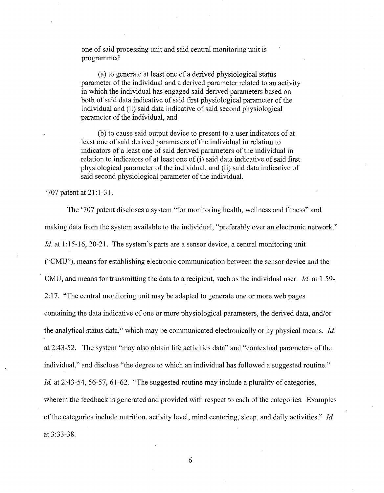one of said processing unit and said central monitoring unit is programmed

(a) to generate at least one of a derived physiological status parameter of the individual and a derived parameter related to an activity in which the individual has engaged said derived parameters based on both of said data indicative of said first physiological parameter of the individual and (ii) said data indicative of said second physiological parameter of the individual, and

(b) to cause said output device to present to a user indicators of at least one of said derived parameters of the individual in relation to indicators of a least one of said derived parameters of the individual in relation to indicators of at least one of (i) said data indicative of said first physiological parameter of the individual, and (ii) said data indicative of said second physiological parameter of the individual.

'707 patent at 21:1-31.

The '707 patent discloses a system "for monitoring health, wellness and fitness" and making data from the system available to the individual, "preferably over an electronic network." *Id.* at 1:15-16, 20-21. The system's parts are a sensor device, a central monitoring unit ("CMU"), means for establishing electronic communication between the sensor device and the CMU, and means for transmitting the data to a recipient, such as the individual user. *Id.* at 1:59- 2:17. "The central monitoring unit may be adapted to generate one or more web pages containing the data indicative of one or more physiological parameters, the derived data, and/or the analytical status data," which may be communicated electronically or by physical means. *!d.*  at 2:43-52. The system "may also obtain life activities data" and "contextual parameters of the individual," and disclose "the degree to which an individual has followed a suggested routine." *Id.* at 2:43-54, 56-57, 61-62. "The suggested routine may include a plurality of categories, wherein the feedback is generated and provided with respect to each of the categories. Examples of the categories include nutrition, activity level, mind centering, sleep, and daily activities." *!d.*  at 3:33-38.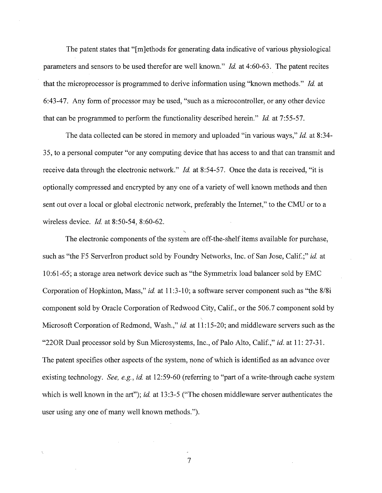The patent states that "[m]ethods for generating data indicative of various physiological parameters and sensors to be used therefor are well known." *!d.* at 4:60-63. The patent recites that the microprocessor is programmed to derive information using "known methods." *!d.* at 6:43-47. Any form of processor may be used, "such as a microcontroller, or any other device that can be programmed to perform the functionality described herein." *!d.* at 7:55-57.

The data collected can be stored in memory and uploaded "in various ways," *!d.* at 8:34- 35, to a personal computer "or any computing device that has access to and that can transmit and receive data through the electronic network." *!d.* at 8:54-57. Once the data is received, "it is optionally compressed and encrypted by any one of a variety of well known methods and then sent out over a local or global electronic network, preferably the Internet," to the CMU or to a wireless device. *!d.* at 8:50-54, 8:60-62.

The electronic components of the system are off-the-shelf items available for purchase, such as "the F5 Serverlron product sold by Foundry Networks, Inc. of San Jose, Calif.;" *id.* at 10:61-65; a storage area network device such as "the Symmetrix load balancer sold by EMC Corporation of Hopkinton, Mass," *id.* at 11:3-10; a software server component such as "the 8/8i component sold by Oracle Corporation of Redwood City, Calif., or the 506.7 component sold by Microsoft Corporation of Redmond, Wash.," *id.* at 11:15-20; and middleware servers such as the "220R Dual processor sold by Sun Microsystems, Inc., of Palo Alto, Calif.," *id.* at 11: 27-31. The patent specifies other aspects of the system, none of which is identified as an advance over existing technology. *See, e.g., id.* at 12:59-60 (referring to "part of a write-through cache system which is well known in the art"); *id.* at 13:3-5 ("The chosen middleware server authenticates the user using any one of many well known methods.").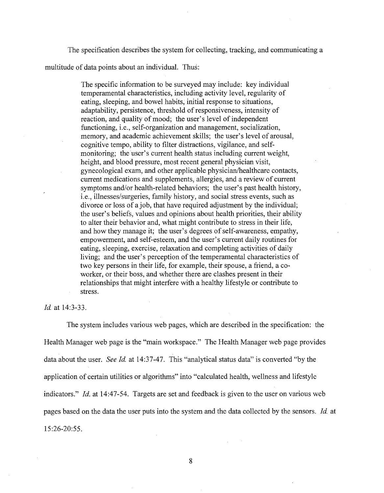The specification describes the system for collecting, tracking, and communicating a multitude of data points about an individual. Thus:

> The specific information to be surveyed may include: key individual temperamental characteristics, including activity level, regularity of eating, sleeping, and bowel habits, initial response to situations, adaptability, persistence, threshold of responsiveness, intensity of reaction, and quality of mood; the user's level of independent functioning, i.e., self-organization and management, socialization, memory, and academic achievement skills; the user's level of arousal, cognitive tempo, ability to filter distractions, vigilance, and selfmonitoring; the user's current health status including current weight, height, and blood pressure, most recent general physician visit, gynecological exam, and other applicable physician/healthcare contacts, current medications and supplements, allergies, and a review of current symptoms and/or health-related behaviors; the user's past health history, i.e., illnesses/surgeries, family history, and social stress events, such as divorce or loss of a job, that have required adjustment by the individual; the user's beliefs, values and opinions about health priorities, their ability to alter their behavior and, what might contribute to stress in their life, and how they manage it; the user's degrees of self-awareness, empathy, empowerment, and self-esteem, and the user's current daily routines for eating, sleeping, exercise, relaxation and completing activities of daily living; and the user's perception of the temperamental characteristics of two key persons in their life, for example, their spouse, a friend, a coworker, or their boss, and whether there are clashes present in their relationships that might interfere with a healthy lifestyle or contribute to stress.

Id. at 14:3-33.

The system includes various web pages, which are described in the specification: the Health Manager web page is the "main workspace." The Health Manager web page provides data about the user. *See Id.* at 14:37-47. This "analytical status data" is converted "by the application of certain utilities or algorithms" into "calculated health, wellness and lifestyle indicators." *Id.* at 14:47-54. Targets are set and feedback is given to the user on various web pages based on the data the user puts into the system and the data collected by the sensors. *Id* at 15:26-20:55.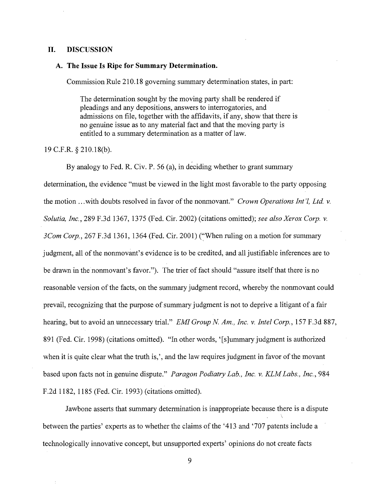### **II. DISCUSSION**

#### **A. The Issue Is Ripe for Summary Determination.**

Commission Rule 210.18 governing summary determination states, in part:

The determination sought by the moving party shall be rendered if pleadings and any depositions, answers to interrogatories, and admissions on file, together with the affidavits, if any, show that there is no genuine issue as to any material fact and that the moving party is entitled to a summary determination as a matter of law.

19 C.F.R. § 210.18(b).

By analogy to Fed. R. Civ. P. 56 (a), in deciding whether to grant summary determination, the evidence "must be viewed in the light most favorable to the party opposing the motion ... with doubts resolved in favor of the nonmovant." *Crown Operations Int'l, Ltd. v. Solutia, Inc.,* 289 F.3d 1367, 1375 (Fed. Cir. 2002) (citations omitted); *see also Xerox Corp. v. 3Com Corp.,* 267 F.3d 1361, 1364 (Fed. Cir. 2001) ('When ruling on a motion for summary judgment, all of the nonmovant's evidence is to be credited, and all justifiable inferences are to be drawn in the nonmovant's favor."). The trier of fact should "assure itself that there is no reasonable version of the facts, on the summary judgment record, whereby the nonmovant could prevail, recognizing that the purpose of summary judgment is not to deprive a litigant of a fair hearing, but to avoid an unnecessary trial." *EMI Group N. Am., Inc. v. Intel Corp.*, 157 F.3d 887, 891 (Fed. Cir. 1998) (citations omitted). "In other words, '[s]ummary judgment is authorized when it is quite clear what the truth is,', and the law requires judgment in favor of the movant based upon facts not in genuine dispute." *Paragon Podiatry Lab., Inc. v. KLM Labs., Inc.,* 984 F.2d 1182, 1185 (Fed. Cir. 1993) (citations omitted).

Jawbone asserts that summary determination is inappropriate because there is a dispute between the parties' experts as to whether the claims of the '413 and '707 patents include a technologically innovative concept, but unsupported experts' opinions do not create facts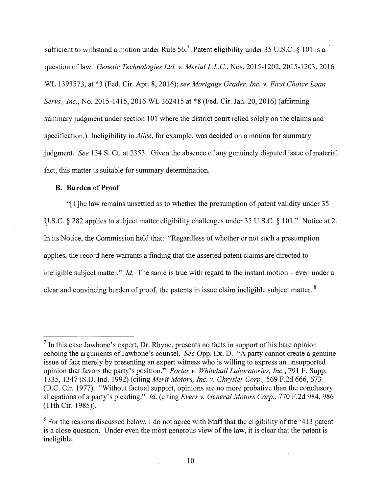sufficient to withstand a motion under Rule  $56<sup>7</sup>$  Patent eligibility under 35 U.S.C. § 101 is a question oflaw. *Genetic Technologies Ltd. v. Merial* L.L.C., Nos. 2015-1202, 2015-1203, 2016 WL 1393573, at \*3 (Fed. Cir. Apr. 8, 2016); *see Mortgage Grader, Inc. v. First Choice Loan Servs., Inc., No.* 2015-1415, 2016 WL 362415 at \*8 (Fed. Cir. Jan. 20, 2016) (affirming summary judgment under section 101 where the district court relied solely on the claims and specification.) Ineligibility in *Alice,* for example, was decided on a motion for summary judgment. *See* 134 S. Ct. at 2353. Given the absence of any genuinely disputed issue of material fact, this matter is suitable for summary determination.

## **B. Burden of Proof**

"[T]he law remains unsettled as to whether the presumption of patent validity under 35 U.S.C. § 282 applies to subject matter eligibility challenges under 35 U.S.C. § 101." Notice at 2. In its Notice, the Commission held that: "Regardless of whether or not such a presumption applies, the record here warrants a finding that the asserted patent claims are directed to ineligible subject matter." *Id.* The same is true with regard to the instant motion – even under a clear and convincing burden of proof, the patents in issue claim ineligible subject matter. <sup>8</sup>

 $<sup>7</sup>$  In this case Jawbone's expert, Dr. Rhyne, presents no facts in support of his bare opinion</sup> echoing the arguments of Jawbone's counsel. *See* Opp. Ex. D. "A party cannot create a genuine issue of fact merely by presenting an expert witness who is willing to express an unsupported opinion that favors the party's position." *Porter v. Whitehall Laboratories, Inc.,* 791 F. Supp. 1335, 1347 (S.D. Ind. 1992) (citing *Merit Motors, Inc. v. Chrysler Corp.,* 569 F.2d 666, 673 (D.C. Cir. 1977). "Without factual support, opinions are no more probative than the conclusory allegations of a party's pleading." *Id.* (citing *Evers v. General Motors Corp.,* 770 F.2d 984, 986 (lith Cir. 1985)).

<sup>&</sup>lt;sup>8</sup> For the reasons discussed below, I do not agree with Staff that the eligibility of the '413 patent' is a close question. Under even the most generous view of the law, it is clear that the patent is ineligible.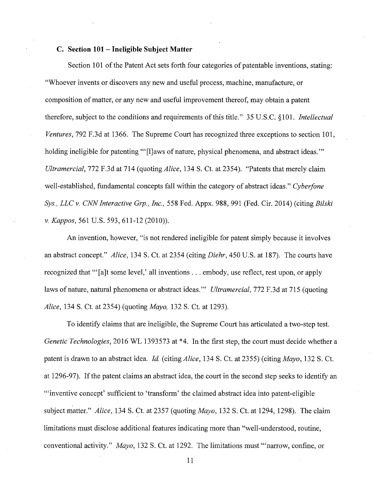#### **C. Section 101 -Ineligible Subject Matter**

Section 101 of the Patent Act sets forth four categories of patentable inventions, stating: "Whoever invents or discovers any new and useful process, machine, manufacture, or composition of matter, or any new and useful improvement thereof, may obtain a patent therefore, subject to the conditions and requirements ofthis title." 35 U.S.C. §101. *Intellectual Ventures,* 792 F.3d at 1366. The Supreme Court has recognized three exceptions to section 101, holding ineligible for patenting "'[l]aws of nature, physical phenomena, and abstract ideas."' *Ultramercial,* 772 F.3d at 714 (quoting *Alice,* 134 S. Ct. at 2354). "Patents that merely claim well-established, fundamental concepts fall within the category of abstract ideas." *Cyberfone Sys., LLC v. CNN Interactive Grp., Inc.,* 558 Fed. Appx. 988, 991 (Fed. Cir. 2014) (citing *Bilski v. Kappas,* 561 U.S. 593, 611-12 (2010)).

An invention, however, "is not rendered ineligible for patent simply because it involves an abstract concept." *Alice,* 134 S. Ct. at 2354 (citing *Diehr,* 450 U.S. at 187). The courts have recognized that "'[a]t some level,' all inventions ... embody, use reflect, rest upon, or apply laws of nature, natural phenomena or abstract ideas."' *Ultramercial,* 772 F.3d at 715 (quoting *Alice,* 134 S. Ct. at 2354) (quoting *Mayo,* 132 S. Ct. at 1293).

To identify claims that are ineligible, the Supreme Court has articulated a two-step test. *Genetic Technologies,* 2016 WL 1393573 at \*4. In the first step, the court must decide whether a patent is drawn to an abstract idea. *Id.* (citing *Alice,* 134 S. Ct. at 2355) (citing *Mayo,* 132 S. Ct. at 1296-97). If the patent claims an abstract idea, the court in the second step seeks to identify an "'inventive concept' sufficient to 'transform' the claimed abstract idea into patent-eligible subject matter." *Alice,* 134 S. Ct. at 2357 (quoting *Mayo,* 132 S. Ct. at 1294, 1298). The claim limitations must disclose additional features indicating more than "well-understood, routine, conventional activity." *Mayo,* 132 S. Ct. at 1292. The limitations must "'narrow, confine, or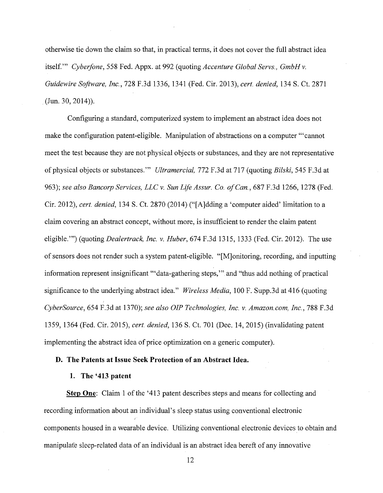otherwise tie down the claim so that, in practical terms, it does not cover the full abstract idea itself." *Cyberfone*, 558 Fed. Appx. at 992 (quoting *Accenture Global Servs., GmbH v. Guidewire Software, Inc.,* 728 F.3d 1336, 1341 (Fed. Cir. 2013), *cert. denied,* 134 S. Ct. 2871 (Jun. 30, 2014)).

Configuring a standard, computerized system to implement an abstract idea does not make the configuration patent-eligible. Manipulation of abstractions on a computer '"cannot meet the test because they are not physical objects or substances, and they are not representative of physical objects or substances."' *Ultramercial,* 772 F.3d at 717 (quoting *Bilski,* 545 F.3d at 963); *see also Bancorp Services, LLC v. Sun Life Assur. Co. of Can.,* 687 F.3d 1266, 1278 (Fed. Cir. 2012), *cert. denied,* 134 S. Ct. 2870 (2014) ("[A]dding a 'computer aided' limitation to a claim covering an abstract concept, without more, is insufficient to render the claim patent eligible."') (quoting *Dealertrack, Inc. v. Huber,* 674 F.3d 1315, 1333 (Fed. Cir. 2012). The use of sensors does not render such a system patent-eligible. "[M]onitoring, recording, and inputting information represent insignificant '"data-gathering steps,"' and "thus add nothing of practical significance to the underlying abstract idea." *Wireless Media,* 100 F. Supp.3d at 416 (quoting *CyberSource,* 654 F.3d at 1370); *see also OIP Technologies, Inc. v. Amazon. com, Inc.,* 788 F.3d 1359, 1364 (Fed. Cir. 2015), *cert. denied,* 136 S. Ct. 701 (Dec. 14, 2015) (invalidating patent implementing the abstract idea of price optimization on a generic computer).

#### **D. The Patents at Issue Seek Protection of an Abstract Idea.**

## **1. The '413 patent**

**Step One:** Claim 1 of the '413 patent describes steps and means for collecting and recording information about an individual's sleep status using conventional electronic components housed in a wearable device. Utilizing conventional electronic devices to obtain and manipulate sleep-related data of an individual is an abstract idea bereft of any innovative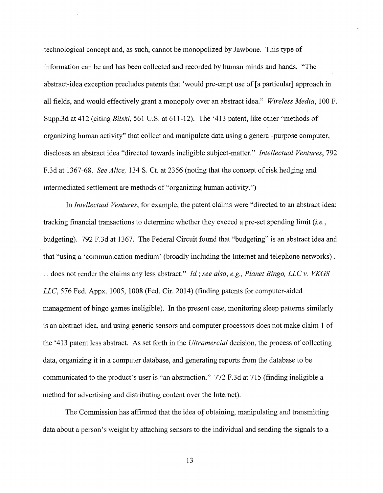technological concept and, as such, cannot be monopolized by Jawbone. This type of information can be and has been collected and recorded by human minds and hands. "The abstract-idea exception precludes patents that 'would pre-empt use of [a particular] approach in all fields, and would effectively grant a monopoly over an abstract idea." *Wireless Media,* 100 F. Supp.3d at 412 (citing *Bilski,* 561 U.S. at 611-12). The '413 patent, like other "methods of organizing human activity" that collect and manipulate data using a general-purpose computer, discloses an abstract idea "directed towards ineligible subject-matter." *Intellectual Ventures,* 792 F.3d at 1367-68. *See Alice,* 134 S. Ct. at 2356 (noting that the concept of risk hedging and intermediated settlement are methods of "organizing human activity.")

In *Intellectual Ventures,* for example, the patent claims were "directed to an abstract idea: tracking financial transactions to determine whether they exceed a pre-set spending limit *(i.e.,*  budgeting). 792 F.3d at 1367. The Federal Circuit found that "budgeting" is an abstract idea and that "using a 'communication medium' (broadly including the Internet and telephone networks) . . . does not render the claims any less abstract." *!d.; see also, e.g., Planet Bingo, LLC v. VKGS LLC,* 576 Fed. Appx. 1005, 1008 (Fed. Cir. 2014) (finding patents for computer-aided management of bingo games ineligible). In the present case, monitoring sleep patterns similarly is an abstract idea, and using generic sensors and computer processors does not make claim 1 of the '413 patent less abstract. As set forth in the *Ultramercial* decision, the process of collecting data, organizing it in a computer database, and generating reports from the database to be communicated to the product's user is "an abstraction." 772 F.3d at 715 (finding ineligible a method for advertising and distributing content over the Internet).

The Commission has affirmed that the idea of obtaining, manipulating and transmitting data about a person's weight by attaching sensors to the individual and sending the signals to a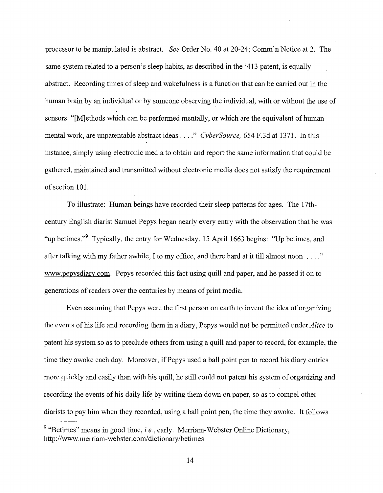processor to be manipulated is abstract. *See* Order No. 40 at 20-24; Comm'n Notice at 2. The same system related to a person's sleep habits, as described in the '413 patent, is equally abstract. Recording times of sleep and wakefulness is a function that can be carried out in the human brain by an individual or by someone observing the individual, with or without the use of sensors. "[M]ethods which can be performed mentally, or which are the equivalent of human mental work, are unpatentable abstract ideas .... " *CyberSource,* 654 F.3d at 1371. In this instance, simply using electronic media to obtain and report the same information that could be gathered, maintained and transmitted without electronic media does not satisfy the requirement of section 101.

To illustrate: Human beings have recorded their sleep patterns for ages. The 17thcentury English diarist Samuel Pepys began nearly every entry with the observation that he was "up betimes."<sup>9</sup> Typically, the entry for Wednesday, 15 April 1663 begins: "Up betimes, and after talking with my father awhile, I to my office, and there hard at it till almost noon .... " www.pepysdiary.com. Pepys recorded this fact using quill and paper, and he passed it on to generations of readers over the centuries by means of print media.

Even assuming that Pepys were the first person on earth to invent the idea of organizing the events of his life and recording them in a diary, Pepys would not be permitted under *Alice* to patent his system so as to preclude others from using a quill and paper to record, for example, the time they awoke each day. Moreover, if Pepys used a ball point pen to record his diary entries more quickly and easily than with his quill, he still could not patent his system of organizing and recording the events of his daily life by writing them down on paper, so as to compel other diarists to pay him when they recorded, using a ball point pen, the time they awoke. It follows

<sup>&</sup>lt;sup>9</sup> "Betimes" means in good time, *i.e.*, early. Merriam-Webster Online Dictionary, http://www.merriam-webster.com/dictionary/betimes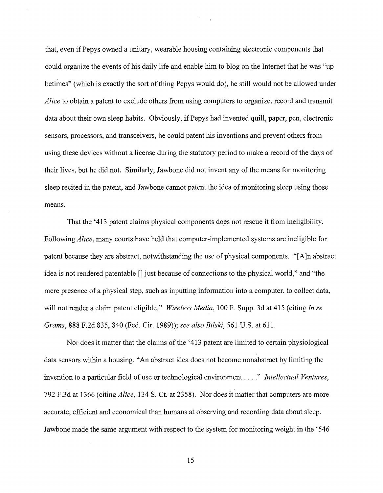that, even ifPepys owned a unitary, wearable housing containing electronic components that could organize the events of his daily life and enable him to blog on the Internet that he was "up betimes" (which is exactly the sort of thing Pepys would do), he still would not be allowed under *Alice* to obtain a patent to exclude others from using computers to organize, record and transmit data about their own sleep habits. Obviously, if Pepys had invented quill, paper, pen, electronic sensors, processors, and transceivers, he could patent his inventions and prevent others from using these devices without a license during the statutory period to make a record of the days of their lives, but he did not. Similarly, Jawbone did not invent any of the means for monitoring sleep recited in the patent, and Jawbone cannot patent the idea of monitoring sleep using those means.

That the '413 patent claims physical components does not rescue it from ineligibility. Following *Alice,* many courts have held that computer-implemented systems are ineligible for patent because they are abstract, notwithstanding the use of physical components. "[A ]n abstract idea is not rendered patentable  $\prod$  just because of connections to the physical world," and "the mere presence of a physical step, such as inputting information into a computer, to collect data, will not render a claim patent eligible." *Wireless Media,* 100 F. Supp. 3d at 415 (citing *In re Grams,* 888 F.2d 835,840 (Fed. Cir. 1989)); *see also Bilski,* 561 U.S. at 611.

Nor does it matter that the claims of the '413 patent are limited to certain physiological data sensors within a housing. "An abstract idea does not become nonabstract by limiting the invention to a particular field of use or technological environment .... " *Intellectual Ventures,*  792 F.3d at 1366 (citing *Alice,* 134 S. Ct. at 2358). Nor does it matter that computers are more accurate, efficient and economical than humans at observing and recording data about sleep. Jawbone made the same argument with respect to the system for monitoring weight in the '546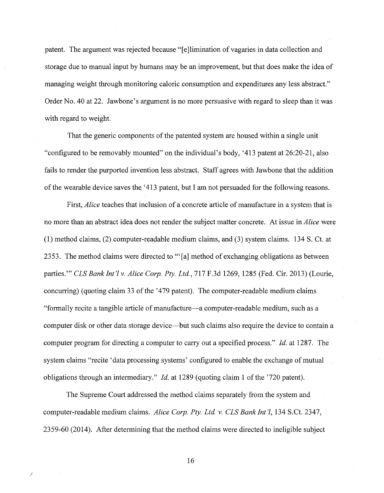patent. The argument was rejected because "[e]limination of vagaries in data collection and storage due to manual input by humans may be an improvement, but that does make the idea of managing weight through monitoring caloric consumption and expenditures any less abstract." Order No. 40 at 22. Jawbone's argument is no more persuasive with regard to sleep than it was with regard to weight.

That the generic components of the patented system are housed within a single unit "configured to be removably mounted" on the individual's body, '413 patent at 26:20-21, also fails to render the purported invention less abstract. Staff agrees with Jawbone that the addition of the wearable device saves the, '413 patent, but I am not persuaded for the following reasons.

First, *Alice* teaches that inclusion of a concrete article of manufacture in a system that is no more than an abstract idea does not render the subject matter concrete. At issue in *Alice* were (1) method claims, (2) computer-readable medium claims, and (3) system claims. 134 S. Ct. at 2353. The method claims were directed to '"[a] method of exchanging obligations as between parties."' *CLS Bank Int'l v. Alice Corp. Pty. Ltd.,* 717 F.3d 1269, 1285 (Fed. Cir. 2013) (Lourie, concurring) (quoting claim 33 of the '479 patent). The computer-readable medium claims "formally recite a tangible article of manufacture-a computer-readable medium, such as a computer disk or other data storage device—but such claims also require the device to contain a computer program for directing a computer to carry out a specified process." *!d.* at 1287. The system claims "recite 'data processing systems' configured to enable the exchange of mutual obligations through an intermediary." *Id.* at 1289 (quoting claim 1 of the '720 patent).

The Supreme Court addressed the method claims separately from the system and computer-readable medium claims. *Alice Corp. Pty. Ltd. v. CLS Bank Int'l,* 134 S.Ct. 2347, 2359-60 (2014). After determining that the method claims were directed to ineligible subject

16

*)*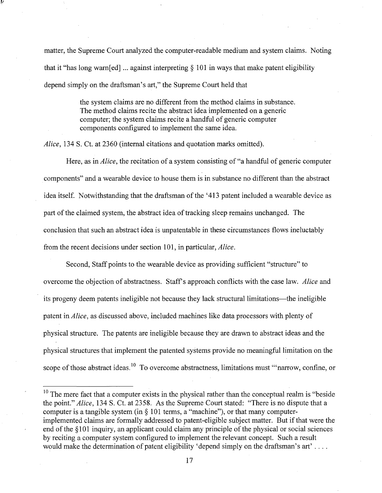matter, the Supreme Court analyzed the computer-readable medium and system claims. Noting that it "has long warn  $[ed]$ ... against interpreting  $\S 101$  in ways that make patent eligibility depend simply on the draftsman's art," the Supreme Court held that

> the system claims are no different from the method claims in substance. The method claims recite the abstract idea implemented on a generic computer; the system claims recite a handful of generic computer components configured to implement the same idea.

*Alice,* 134 S. Ct. at 2360 (internal citations and quotation marks omitted).

*r'* 

Here, as in *Alice,* the recitation of a system consisting of "a handful of generic computer components" and a wearable device to house them is in substance no different than the abstract idea itself. Notwithstanding that the draftsman of the '413 patent included a wearable device as part of the claimed system, the abstract idea of tracking sleep remains unchanged. The conclusion that such an abstract idea is unpatentable in these circumstances flows ineluctably from the recent decisions under section 101, in particular, *Alice.* 

Second, Staff points to the wearable device as providing sufficient "structure" to overcome the objection of abstractness. Staff's approach conflicts with the case law. *Alice* and its progeny deem patents ineligible not because they lack structural limitations—the ineligible patent in *Alice,* as discussed above, included machines like data processors with plenty of physical structure. The patents are ineligible because they are drawn to abstract ideas and the physical structures that implement the patented systems provide no meaningful limitation on the scope of those abstract ideas.<sup>10</sup> To overcome abstractness, limitations must "'narrow, confine, or

 $10$  The mere fact that a computer exists in the physical rather than the conceptual realm is "beside" the point." *Alice,* 134 S. Ct. at 2358. As the Supreme Court stated: "There is no dispute that a computer is a tangible system (in  $\S$  101 terms, a "machine"), or that many computerimplemented claims are formally addressed to patent-eligible subject matter. But if that were the end of the § 101 inquiry, an applicant could claim any principle of the physical or social sciences by reciting a computer system configured to implement the relevant concept. Such a result would make the determination of patent eligibility 'depend simply on the draftsman's art'....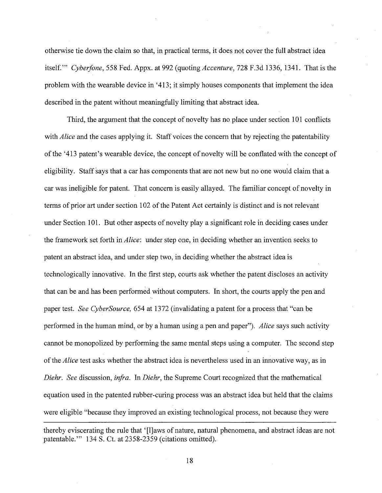otherwise tie down the claim so that, in practical terms, it does not cover the full abstract idea itself."' *Cyberfone,* 558 Fed. Appx. at 992 (quoting *Accenture,* 728 F.3d 1336, 1341. That is the problem with the wearable device in '413; it simply houses components that implement the idea described in the patent without meaningfully limiting that abstract idea.

Third, the argument that the concept of novelty has no place under section 101 conflicts with *Alice* and the cases applying it. Staff voices the concern that by rejecting the patentability ofthe '413 patent's wearable device, the concept of novelty will be conflated with the concept of eligibility. Staff says that a car has components that are not new but no one would claim that a car was ineligible for patent. That concern is easily allayed. The familiar concept of novelty in terms of prior art under section 102 of the Patent Act certainly is distinct and is not relevant under Section 101. But other aspects of novelty play a significant role in deciding cases under the framework set forth in *Alice:* under step one, in deciding whether an invention seeks to patent an abstract idea, and under step two, in deciding whether the abstract idea is technologically innovative. In the first step, courts ask whether the patent discloses an activity that can be and has been performed without computers. In short, the courts apply the pen and paper test. *See CyberSource,* 654 at 1372 (invalidating a patent for a process that "can be performed in the human mind, or by a human using a pen and paper"). *Alice* says such activity cannot be monopolized by performing the same mental steps using a computer. The second step of the *Alice* test asks whether the abstract idea is nevertheless used in an innovative way, as in *Diehr. See* discussion, *infra.* In *Diehr,* the Supreme Court recognized that the mathematical equation used in the patented rubber-curing process was an abstract idea but held that the claims were eligible "because they improved an existing technological process, not because they were

thereby eviscerating the rule that '[l]aws of nature, natural phenomena, and abstract ideas are not patentable."' 134 S. Ct. at 2358-2359 (citations omitted).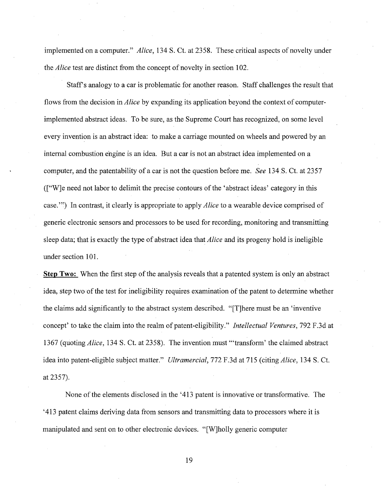implemented on a computer." *Alice,* 134 S. Ct. at 2358. These critical aspects of novelty under the *Alice* test are distinct from the concept of novelty in section 102.

Staff's analogy to a car is problematic for another reason. Staff challenges the result that flows from the decision in *Alice* by expanding its application beyond the context of computerimplemented abstract ideas. To be sure, as the Supreme Court has recognized, on some level every invention is an abstract idea: to make a carriage mounted on wheels and powered by an internal combustion engine is an idea. But a car is not an abstract idea implemented on a computer, and the patentability of a car is not the question before me. *See* 134 S. Ct. at 2357 (["W]e need not labor to delimit the precise contours of the 'abstract ideas' category in this case."') In contrast, it clearly is appropriate to apply *Alice* to a wearable device comprised of generic electronic sensors and processors to be used for recording, monitoring and transmitting sleep data; that is exactly the type of abstract idea that *Alice* and its progeny hold is ineligible under section 101.

**Step Two:** When the first step of the analysis reveals that a patented system is only an abstract idea, step two of the test for ineligibility requires examination of the patent to determine whether the claims add significantly to the abstract system described. "[T]here must be an 'inventive concept' to take the claim into the realm of patent-eligibility." *Intellectual Ventures,* 792 F.3d at 1367 (quoting *Alice,* 134 S. Ct. at 2358). The invention must "'transform' the claimed abstract idea into patent-eligible subject matter." *Ultramercial,* 772 F.3d at 715 (citing *Alice,* 134 S. Ct. at 2357).

None of the elements disclosed in the '413 patent is innovative or transformative. The '413 patent claims deriving data from sensors and transmitting data to processors where it is manipulated and sent on to other electronic devices. "[W]holly generic computer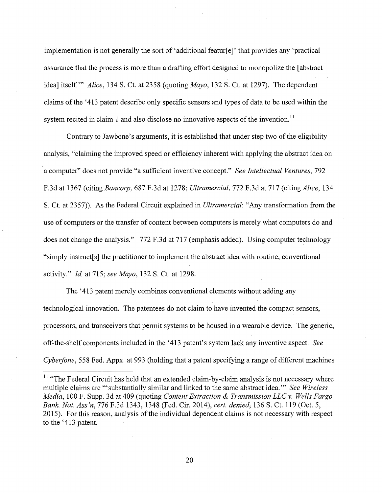implementation is not generally the sort of 'additional featur[e]' that provides any 'practical assurance that the process is more than a drafting effort designed to monopolize the [abstract idea] itself."' *Alice,* 134 S. Ct. at 2358 (quoting *Mayo,* 132 S. Ct. at 1297). The dependent claims of the '413 patent describe only specific sensors and types of data to be used within the system recited in claim 1 and also disclose no innovative aspects of the invention.<sup>11</sup>

Contrary to Jawbone's arguments, it is established that under step two of the eligibility analysis, "claiming the improved speed or efficiency inherent with applying the abstract idea on a computer" does not provide "a sufficient inventive concept." *See Intellectual Ventures,* 792 F.3d at 1367 (citing *Bancorp,* 687 F.3d at 1278; *Ultramercial,* 772 F.3d at 717 (citing *Alice,* 134 S. Ct. at 2357)). As the Federal Circuit explained in *Ultramercial:* "Any transformation from the use of computers or the transfer of content between computers is merely what computers do and does not change the analysis." 772 F.3d at 717 (emphasis added). Using computer technology "simply instruct[s] the practitioner to implement the abstract idea with routine, conventional activity." *!d.* at 715; *see Mayo,* 132 S. Ct. at 1298.

The '413 patent merely combines conventional elements without adding any technological innovation. The patentees do not claim to have invented the compact sensors, processors, and transceivers that permit systems to be housed in a wearable device. The generic, off-the-shelf components included in the '413 patent's system lack any inventive aspect. *See Cyberfone,* 558 Fed. Appx. at 993 (holding that a patent specifying a range of different machines

<sup>11</sup> "The Federal Circuit has held that an extended claim-by-claim analysis is not necessary where multiple claims are "'substantially similar and linked to the same abstract idea."' *See Wireless Media,* 100 F. Supp. 3d at 409 (quoting *Content Extraction* & *Transmission LLC v. Wells Fargo Bank, Nat. Ass 'n,* 776 F.3d 1343, 1348 (Fed. Cir. 2014), *cert. denied;* 136 S. Ct. 119 (Oct. 5, 2015). For this reason, analysis of the individual dependent claims is not necessary with respect to the '413 patent.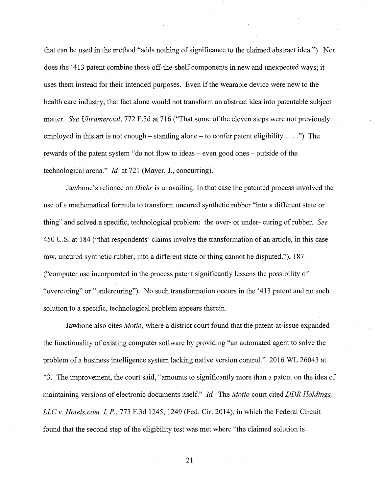that can be used in the method "adds nothing of significance to the claimed abstract idea."). Nor does the '413 patent combine these off-the-shelf components in new and unexpected ways; it uses them instead for their intended purposes. Even if the wearable device were new to the health care industry, that fact alone would not transform an abstract idea into patentable subject matter. *See Ultramercial,* 772 F.3d at 716 ("That some of the eleven steps were not previously employed in this art is not enough – standing alone – to confer patent eligibility ....") The rewards of the patent system "do not flow to ideas – even good ones – outside of the technological arena." *Id.* at 721 (Mayer, J., concurring).

Jawbone's reliance on *Diehr* is unavailing. In that case the patented process involved the use of a mathematical formula to transform uncured synthetic rubber "into a different state or thing" and solved a specific, technological problem: the over- or under- curing of rubber. *See*  450 U.S. at 184 ("that respondents' claims involve the transformation of an article, in this case raw, uncured synthetic rubber, into a different state or thing cannot be disputed."), 187 ("computer use incorporated in the process patent significantly lessens the possibility of "overcuring" or "undercuring"). No such transformation occurs in the '413 patent and no such solution to a specific, technological problem appears therein.

Jawbone also cites *Motio,* where a district court found that the patent-at-issue expanded the functionality of existing computer software by providing "an automated agent to solve the problem of a business intelligence system lacking native version control." 2016 WL 26043 at \*3. The improvement, the court said, "amounts to significantly more than a patent on the idea of maintaining versions of electronic documents itself." *Id.* The *Motio* court cited *DDR Holdings, LLC v. Hotels. com, L.P.,* 773 F.3d 1245, 1249 (Fed. Cir. 2014), in which the Federal Circuit found that the second step of the eligibility test was met where "the claimed solution is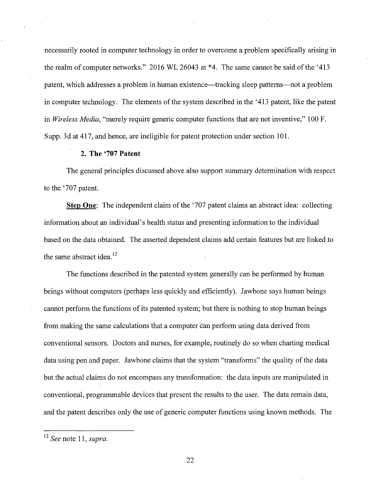necessarily rooted in computer technology in order to overcome a problem specifically arising in the realm of computer networks." 2016 WL 26043 at \*4. The same cannot be said of the '413 patent, which addresses a problem in human existence—tracking sleep patterns—not a problem in computer technology. The elements of the system described in the '413 patent, like the patent in *Wireless Media,* "merely require generic computer functions that are not inventive," 100 F. Supp. 3d at 417, and hence, are ineligible for patent protection under section 101.

#### **2. The '707 Patent**

The general principles discussed above also support summary determination with respect to the '707 patent.

**Step One:** The independent claim of the '707 patent claims an abstract idea: collecting information about an individual's health status and presenting information to the individual based on the data obtained. The asserted dependent claims add certain features but are linked to the same abstract idea.<sup>12</sup>

The functions described in the patented system generally can be performed by human beings without computers (perhaps less quickly and efficiently). Jawbone says human beings cannot perform the functions of its patented system; but there is nothing to stop human beings from making the same calculations that a computer can perform using data derived from conventional sensors. Doctors and nurses, for example, routinely do so when charting medical data using pen and paper. Jawbone claims that the system "transforms" the quality of the data but the actual claims do not encompass any transformation: the data inputs are manipulated in conventional, programmable devices that present the results to the user. The data remain data, and the patent describes only the use of generic computer functions using known methods. The

<sup>12</sup>*See* note 11, *supra.*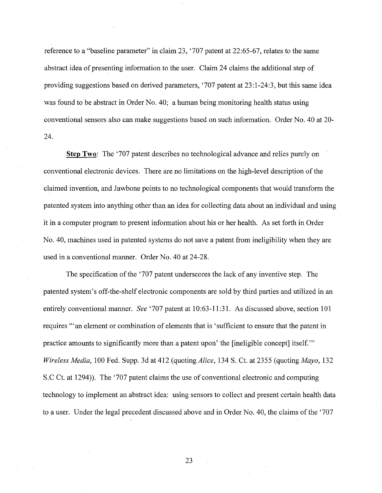reference to a "baseline parameter" in claim 23, '707 patent at 22:65-67, relates to the same abstract idea of presenting information to the user. Claim 24 claims the additional step of providing suggestions based on derived parameters, '707 patent at 23:1-24:3, but this same idea was found to be abstract in Order No. 40; a human being monitoring health status using conventional sensors also can make suggestions based on such information. Order No. 40 at 20- 24.

**Step Two:** The '707 patent describes no technological advance and relies purely on conventional electronic devices. There are no limitations on the high-level description of the claimed invention, and Jawbone points to no technological components that would transform the patented system into anything other than an idea for collecting data about an individual and using it in a computer program to present information about his or her health. As set forth in Order No. 40, machines used in patented systems do not save a patent from ineligibility when they are used in a conventional manner. Order No. 40 at 24-28.

The specification of the '707 patent underscores the lack of any inventive step. The patented system's off-the-shelf electronic components are sold by third parties and utilized in an entirely conventional manner. *See* '707 patent at 10:63-11:31. As discussed above, section 101 requires "'an element or combination of elements that is 'sufficient to ensure that the patent in practice amounts to significantly more than a patent upon' the [ineligible concept] itself."' *Wireless Media,* 100 Fed. Supp. 3d at 412 (quoting *Alice,* 134 S. Ct. at 2355 (quoting *Mayo,* 132 S.C Ct. at 1294)). The '707 patent claims the use of conventional electronic and computing technology to implement an abstract idea: using sensors to collect and present certain health data to a user. Under the legal precedent discussed above and in Order No. 40, the claims of the '707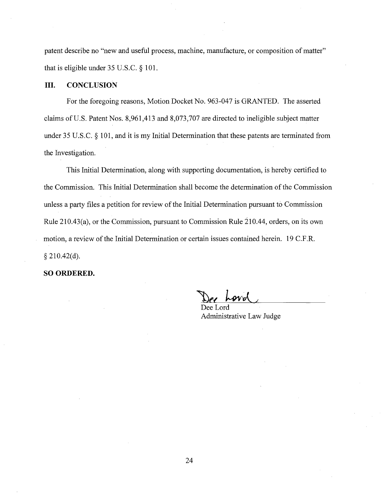patent describe no "new and useful process, machine, manufacture, or composition of matter" that is eligible under 35 U.S.C. § 101.

## **III. CONCLUSION**

For the foregoing reasons, Motion Docket No. 963-047 is GRANTED. The asserted claims ofU.S. Patent Nos. 8,961,413 and 8,073,707 are directed to ineligible subject matter under 35 U.S.C. § 101, and it is my Initial Determination that these patents are terminated from the Investigation.

This Initial Determination, along with supporting documentation, is hereby certified to the Commission. This Initial Determination shall become the determination of the Commission unless a party files a petition for review of the Initial Determination pursuant to Commission Rule 210.43(a), or the Commission, pursuant to Commission Rule 210.44, orders, on its own motion, a review of the Initial Determination or certain issues contained herein. 19 C.F .R.  $§$  210.42(d).

**SO ORDERED.** 

*"1Jel* ~'fl\. /

Dee Lord Administrative Law Judge